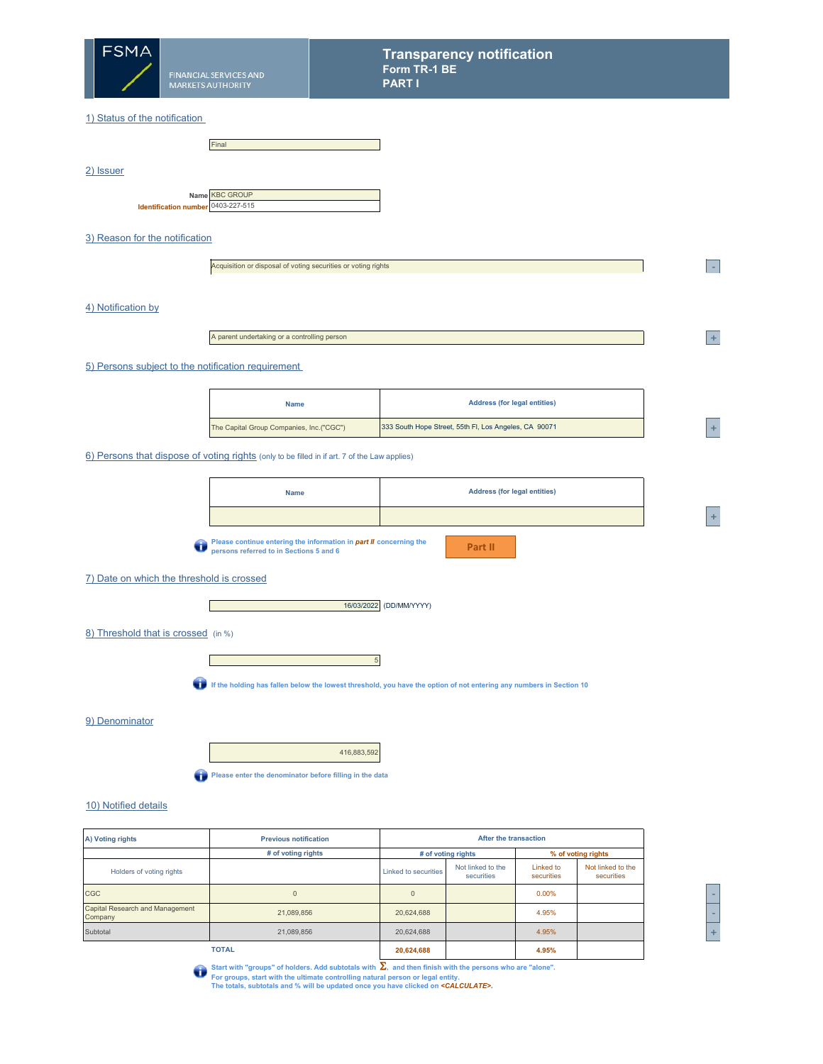

2) Issuer

## 1) Status of the notification

| Final          |  |
|----------------|--|
|                |  |
|                |  |
|                |  |
|                |  |
| Name KBC GROUP |  |

|                                    | Name KBC GROUP |
|------------------------------------|----------------|
| Identification number 0403-227-515 |                |
|                                    |                |

3) Reason for the notification

Acquisition or disposal of voting securities or voting rights

4) Notification by

A parent undertaking or a controlling person

5) Persons subject to the notification requirement

| <b>Name</b>                              | <b>Address (for legal entities)</b>                   |     |
|------------------------------------------|-------------------------------------------------------|-----|
| The Capital Group Companies, Inc.("CGC") | 333 South Hope Street, 55th FI, Los Angeles, CA 90071 | -47 |

6) Persons that dispose of voting rights (only to be filled in if art. 7 of the Law applies)

| <b>Name</b>                                                                                                                                                     | <b>Address (for legal entities)</b> |  |  |  |
|-----------------------------------------------------------------------------------------------------------------------------------------------------------------|-------------------------------------|--|--|--|
|                                                                                                                                                                 |                                     |  |  |  |
| Please continue entering the information in <b>part II</b> concerning the<br>nersons referred to in Sections 5 and 6<br>persons referred to in Sections 5 and 6 | Part II                             |  |  |  |

7) Date on which the threshold is crossed



8) Threshold that is crossed (in %)



**If the holding has fallen below the lowest threshold, you have the option of not entering any numbers in Section 10**

5

9) Denominator

416,883,592

**Please enter the denominator before filling in the data** 

## 10) Notified details

| A) Voting rights                           | <b>Previous notification</b> |                             | After the transaction           |                         |                                 |  |     |
|--------------------------------------------|------------------------------|-----------------------------|---------------------------------|-------------------------|---------------------------------|--|-----|
|                                            | # of voting rights           |                             | # of voting rights              |                         | % of voting rights              |  |     |
| Holders of voting rights                   |                              | <b>Linked to securities</b> | Not linked to the<br>securities | Linked to<br>securities | Not linked to the<br>securities |  |     |
| CGC                                        | $\Omega$                     |                             |                                 | 0.00%                   |                                 |  |     |
| Capital Research and Management<br>Company | 21,089,856                   | 20,624,688                  |                                 | 4.95%                   |                                 |  |     |
| Subtotal                                   | 21,089,856                   | 20,624,688                  |                                 | 4.95%                   |                                 |  | $+$ |
|                                            | <b>TOTAL</b>                 | 20,624,688                  |                                 | 4.95%                   |                                 |  |     |

**<sup>2</sup> -** 

**<sup>2</sup> +** 

**<sup>A</sup> +** 

Start with "groups" of holders. Add subtotals with Σ, and then finish with the persons who are "alone".<br>For groups, start with the ultimate controlling natural person or legal entity.<br>The totals, subtotals and % will be u